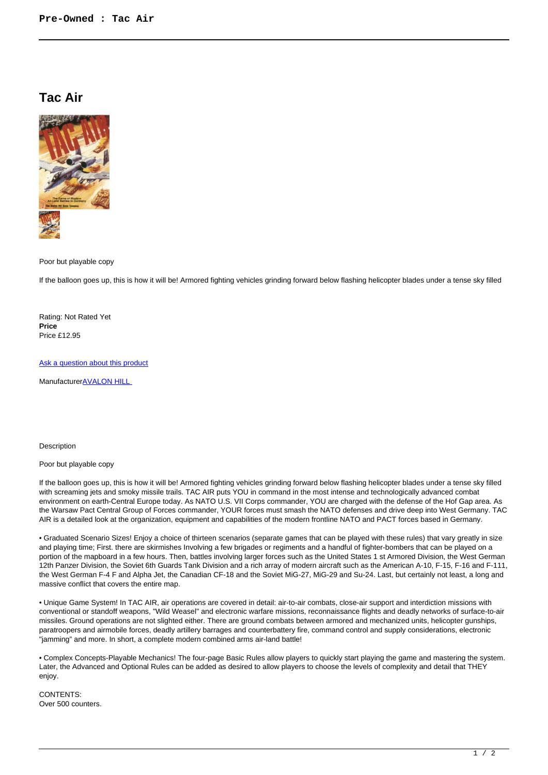## **Tac Air**



Poor but playable copy

If the balloon goes up, this is how it will be! Armored fighting vehicles grinding forward below flashing helicopter blades under a tense sky filled

Rating: Not Rated Yet **Price**  Price £12.95

[Ask a question about this product](https://www.secondchancegames.com/index.php?option=com_virtuemart&view=productdetails&task=askquestion&virtuemart_product_id=5195&virtuemart_category_id=40&tmpl=component)

Manufacturer**AVALON HILL** 

Description

## Poor but playable copy

If the balloon goes up, this is how it will be! Armored fighting vehicles grinding forward below flashing helicopter blades under a tense sky filled with screaming jets and smoky missile trails. TAC AIR puts YOU in command in the most intense and technologically advanced combat environment on earth-Central Europe today. As NATO U.S. VII Corps commander, YOU are charged with the defense of the Hof Gap area. As the Warsaw Pact Central Group of Forces commander, YOUR forces must smash the NATO defenses and drive deep into West Germany. TAC AIR is a detailed look at the organization, equipment and capabilities of the modern frontline NATO and PACT forces based in Germany.

• Graduated Scenario Sizes! Enjoy a choice of thirteen scenarios (separate games that can be played with these rules) that vary greatly in size and playing time; First. there are skirmishes Involving a few brigades or regiments and a handful of fighter-bombers that can be played on a portion of the mapboard in a few hours. Then, battles involving larger forces such as the United States 1 st Armored Division, the West German 12th Panzer Division, the Soviet 6th Guards Tank Division and a rich array of modern aircraft such as the American A-10, F-15, F-16 and F-111, the West German F-4 F and Alpha Jet, the Canadian CF-18 and the Soviet MiG-27, MiG-29 and Su-24. Last, but certainly not least, a long and massive conflict that covers the entire map.

• Unique Game System! In TAC AIR, air operations are covered in detail: air-to-air combats, close-air support and interdiction missions with conventional or standoff weapons, "Wild Weasel" and electronic warfare missions, reconnaissance flights and deadly networks of surface-to-air missiles. Ground operations are not slighted either. There are ground combats between armored and mechanized units, helicopter gunships, paratroopers and airmobile forces, deadly artillery barrages and counterbattery fire, command control and supply considerations, electronic "jamming" and more. In short, a complete modern combined arms air-land battle!

• Complex Concepts-Playable Mechanics! The four-page Basic Rules allow players to quickly start playing the game and mastering the system. Later, the Advanced and Optional Rules can be added as desired to allow players to choose the levels of complexity and detail that THEY enjoy.

CONTENTS: Over 500 counters.